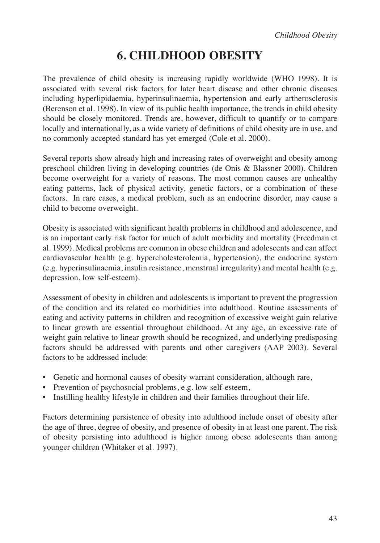# **6. CHILDHOOD OBESITY**

The prevalence of child obesity is increasing rapidly worldwide (WHO 1998). It is associated with several risk factors for later heart disease and other chronic diseases including hyperlipidaemia, hyperinsulinaemia, hypertension and early artherosclerosis (Berenson et al. 1998). In view of its public health importance, the trends in child obesity should be closely monitored. Trends are, however, difficult to quantify or to compare locally and internationally, as a wide variety of definitions of child obesity are in use, and no commonly accepted standard has yet emerged (Cole et al. 2000).

Several reports show already high and increasing rates of overweight and obesity among preschool children living in developing countries (de Onis & Blassner 2000). Children become overweight for a variety of reasons. The most common causes are unhealthy eating patterns, lack of physical activity, genetic factors, or a combination of these factors. In rare cases, a medical problem, such as an endocrine disorder, may cause a child to become overweight.

Obesity is associated with significant health problems in childhood and adolescence, and is an important early risk factor for much of adult morbidity and mortality (Freedman et al. 1999). Medical problems are common in obese children and adolescents and can affect cardiovascular health (e.g. hypercholesterolemia, hypertension), the endocrine system (e.g. hyperinsulinaemia, insulin resistance, menstrual irregularity) and mental health (e.g. depression, low self-esteem).

Assessment of obesity in children and adolescents is important to prevent the progression of the condition and its related co morbidities into adulthood. Routine assessments of eating and activity patterns in children and recognition of excessive weight gain relative to linear growth are essential throughout childhood. At any age, an excessive rate of weight gain relative to linear growth should be recognized, and underlying predisposing factors should be addressed with parents and other caregivers (AAP 2003). Several factors to be addressed include:

- Genetic and hormonal causes of obesity warrant consideration, although rare,
- Prevention of psychosocial problems, e.g. low self-esteem,
- Instilling healthy lifestyle in children and their families throughout their life.

Factors determining persistence of obesity into adulthood include onset of obesity after the age of three, degree of obesity, and presence of obesity in at least one parent. The risk of obesity persisting into adulthood is higher among obese adolescents than among younger children (Whitaker et al. 1997).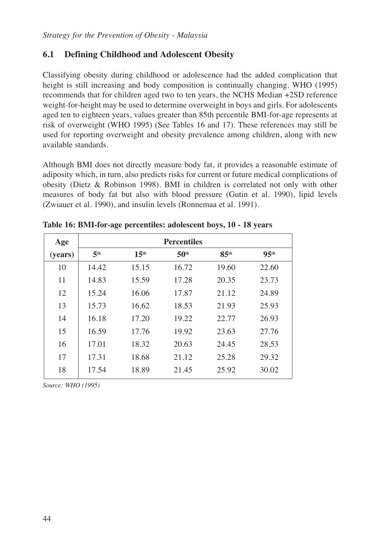### **6.1 Defining Childhood and Adolescent Obesity**

Classifying obesity during childhood or adolescence had the added complication that height is still increasing and body composition is continually changing. WHO (1995) recommends that for children aged two to ten years, the NCHS Median +2SD reference weight-for-height may be used to determine overweight in boys and girls. For adolescents aged ten to eighteen years, values greater than 85th percentile BMI-for-age represents at risk of overweight (WHO 1995) (See Tables 16 and 17). These references may still be used for reporting overweight and obesity prevalence among children, along with new available standards.

Although BMI does not directly measure body fat, it provides a reasonable estimate of adiposity which, in turn, also predicts risks for current or future medical complications of obesity (Dietz & Robinson 1998). BMI in children is correlated not only with other measures of body fat but also with blood pressure (Gutin et al. 1990), lipid levels (Zwiauer et al. 1990), and insulin levels (Ronnemaa et al. 1991).

| Age     | <b>Percentiles</b> |                  |                  |                  |                  |
|---------|--------------------|------------------|------------------|------------------|------------------|
| (years) | 5 <sup>th</sup>    | 15 <sup>th</sup> | 50 <sup>th</sup> | 85 <sup>th</sup> | 95 <sup>th</sup> |
| 10      | 14.42              | 15.15            | 16.72            | 19.60            | 22.60            |
| 11      | 14.83              | 15.59            | 17.28            | 20.35            | 23.73            |
| 12      | 15.24              | 16.06            | 17.87            | 21.12            | 24.89            |
| 13      | 15.73              | 16.62            | 18.53            | 21.93            | 25.93            |
| 14      | 16.18              | 17.20            | 19.22            | 22.77            | 26.93            |
| 15      | 16.59              | 17.76            | 19.92            | 23.63            | 27.76            |
| 16      | 17.01              | 18.32            | 20.63            | 24.45            | 28.53            |
| 17      | 17.31              | 18.68            | 21.12            | 25.28            | 29.32            |
| 18      | 17.54              | 18.89            | 21.45            | 25.92            | 30.02            |

**Table 16: BMI-for-age percentiles: adolescent boys, 10 - 18 years**

*Source: WHO (1995)*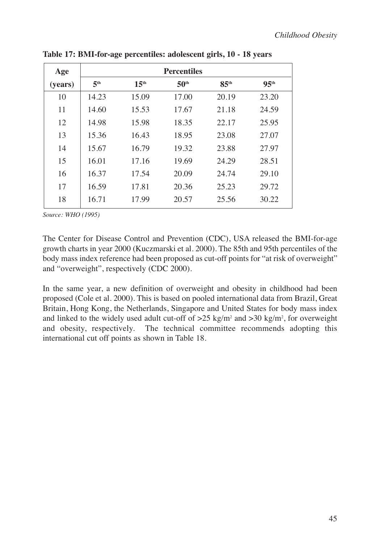| Age     | <b>Percentiles</b> |                  |                  |                  |                  |
|---------|--------------------|------------------|------------------|------------------|------------------|
| (years) | 5 <sup>th</sup>    | 15 <sup>th</sup> | 50 <sup>th</sup> | 85 <sup>th</sup> | 95 <sup>th</sup> |
| 10      | 14.23              | 15.09            | 17.00            | 20.19            | 23.20            |
| 11      | 14.60              | 15.53            | 17.67            | 21.18            | 24.59            |
| 12      | 14.98              | 15.98            | 18.35            | 22.17            | 25.95            |
| 13      | 15.36              | 16.43            | 18.95            | 23.08            | 27.07            |
| 14      | 15.67              | 16.79            | 19.32            | 23.88            | 27.97            |
| 15      | 16.01              | 17.16            | 19.69            | 24.29            | 28.51            |
| 16      | 16.37              | 17.54            | 20.09            | 24.74            | 29.10            |
| 17      | 16.59              | 17.81            | 20.36            | 25.23            | 29.72            |
| 18      | 16.71              | 17.99            | 20.57            | 25.56            | 30.22            |

**Table 17: BMI-for-age percentiles: adolescent girls, 10 - 18 years**

*Source: WHO (1995)*

The Center for Disease Control and Prevention (CDC), USA released the BMI-for-age growth charts in year 2000 (Kuczmarski et al. 2000). The 85th and 95th percentiles of the body mass index reference had been proposed as cut-off points for "at risk of overweight" and "overweight", respectively (CDC 2000).

In the same year, a new definition of overweight and obesity in childhood had been proposed (Cole et al. 2000). This is based on pooled international data from Brazil, Great Britain, Hong Kong, the Netherlands, Singapore and United States for body mass index and linked to the widely used adult cut-off of  $>25 \text{ kg/m}^2$  and  $>30 \text{ kg/m}^2$ , for overweight and obesity, respectively. The technical committee recommends adopting this international cut off points as shown in Table 18.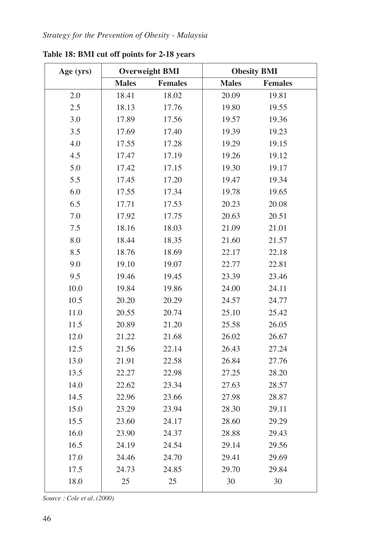| Age (yrs) | <b>Overweight BMI</b> |                | <b>Obesity BMI</b> |                |
|-----------|-----------------------|----------------|--------------------|----------------|
|           | <b>Males</b>          | <b>Females</b> | <b>Males</b>       | <b>Females</b> |
| 2.0       | 18.41                 | 18.02          | 20.09              | 19.81          |
| 2.5       | 18.13                 | 17.76          | 19.80              | 19.55          |
| 3.0       | 17.89                 | 17.56          | 19.57              | 19.36          |
| 3.5       | 17.69                 | 17.40          | 19.39              | 19.23          |
| 4.0       | 17.55                 | 17.28          | 19.29              | 19.15          |
| 4.5       | 17.47                 | 17.19          | 19.26              | 19.12          |
| 5.0       | 17.42                 | 17.15          | 19.30              | 19.17          |
| 5.5       | 17.45                 | 17.20          | 19.47              | 19.34          |
| 6.0       | 17.55                 | 17.34          | 19.78              | 19.65          |
| 6.5       | 17.71                 | 17.53          | 20.23              | 20.08          |
| 7.0       | 17.92                 | 17.75          | 20.63              | 20.51          |
| 7.5       | 18.16                 | 18.03          | 21.09              | 21.01          |
| 8.0       | 18.44                 | 18.35          | 21.60              | 21.57          |
| 8.5       | 18.76                 | 18.69          | 22.17              | 22.18          |
| 9.0       | 19.10                 | 19.07          | 22.77              | 22.81          |
| 9.5       | 19.46                 | 19.45          | 23.39              | 23.46          |
| 10.0      | 19.84                 | 19.86          | 24.00              | 24.11          |
| 10.5      | 20.20                 | 20.29          | 24.57              | 24.77          |
| 11.0      | 20.55                 | 20.74          | 25.10              | 25.42          |
| 11.5      | 20.89                 | 21.20          | 25.58              | 26.05          |
| 12.0      | 21.22                 | 21.68          | 26.02              | 26.67          |
| 12.5      | 21.56                 | 22.14          | 26.43              | 27.24          |
| 13.0      | 21.91                 | 22.58          | 26.84              | 27.76          |
| 13.5      | 22.27                 | 22.98          | 27.25              | 28.20          |
| 14.0      | 22.62                 | 23.34          | 27.63              | 28.57          |
| 14.5      | 22.96                 | 23.66          | 27.98              | 28.87          |
| 15.0      | 23.29                 | 23.94          | 28.30              | 29.11          |
| 15.5      | 23.60                 | 24.17          | 28.60              | 29.29          |
| 16.0      | 23.90                 | 24.37          | 28.88              | 29.43          |
| 16.5      | 24.19                 | 24.54          | 29.14              | 29.56          |
| 17.0      | 24.46                 | 24.70          | 29.41              | 29.69          |
| 17.5      | 24.73                 | 24.85          | 29.70              | 29.84          |
| 18.0      | 25                    | 25             | 30                 | 30             |

**Table 18: BMI cut off points for 2-18 years**

*Source : Cole et al. (2000)*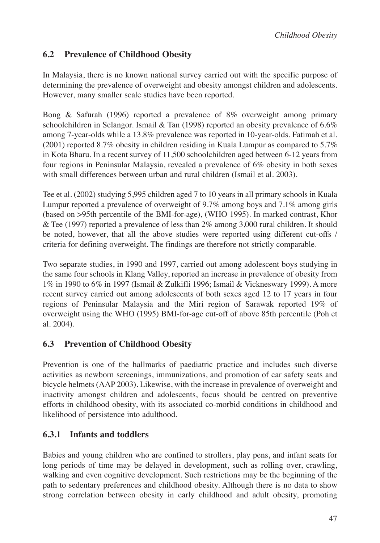### **6.2 Prevalence of Childhood Obesity**

In Malaysia, there is no known national survey carried out with the specific purpose of determining the prevalence of overweight and obesity amongst children and adolescents. However, many smaller scale studies have been reported.

Bong & Safurah (1996) reported a prevalence of 8% overweight among primary schoolchildren in Selangor. Ismail  $&$  Tan (1998) reported an obesity prevalence of 6.6% among 7-year-olds while a 13.8% prevalence was reported in 10-year-olds. Fatimah et al. (2001) reported 8.7% obesity in children residing in Kuala Lumpur as compared to 5.7% in Kota Bharu. In a recent survey of 11,500 schoolchildren aged between 6-12 years from four regions in Peninsular Malaysia, revealed a prevalence of 6% obesity in both sexes with small differences between urban and rural children (Ismail et al. 2003).

Tee et al. (2002) studying 5,995 children aged 7 to 10 years in all primary schools in Kuala Lumpur reported a prevalence of overweight of 9.7% among boys and 7.1% among girls (based on >95th percentile of the BMI-for-age), (WHO 1995). In marked contrast, Khor & Tee (1997) reported a prevalence of less than 2% among 3,000 rural children. It should be noted, however, that all the above studies were reported using different cut-offs / criteria for defining overweight. The findings are therefore not strictly comparable.

Two separate studies, in 1990 and 1997, carried out among adolescent boys studying in the same four schools in Klang Valley, reported an increase in prevalence of obesity from 1% in 1990 to 6% in 1997 (Ismail & Zulkifli 1996; Ismail & Vickneswary 1999). A more recent survey carried out among adolescents of both sexes aged 12 to 17 years in four regions of Peninsular Malaysia and the Miri region of Sarawak reported 19% of overweight using the WHO (1995) BMI-for-age cut-off of above 85th percentile (Poh et al. 2004).

## **6.3 Prevention of Childhood Obesity**

Prevention is one of the hallmarks of paediatric practice and includes such diverse activities as newborn screenings, immunizations, and promotion of car safety seats and bicycle helmets (AAP 2003). Likewise, with the increase in prevalence of overweight and inactivity amongst children and adolescents, focus should be centred on preventive efforts in childhood obesity, with its associated co-morbid conditions in childhood and likelihood of persistence into adulthood.

## **6.3.1 Infants and toddlers**

Babies and young children who are confined to strollers, play pens, and infant seats for long periods of time may be delayed in development, such as rolling over, crawling, walking and even cognitive development. Such restrictions may be the beginning of the path to sedentary preferences and childhood obesity. Although there is no data to show strong correlation between obesity in early childhood and adult obesity, promoting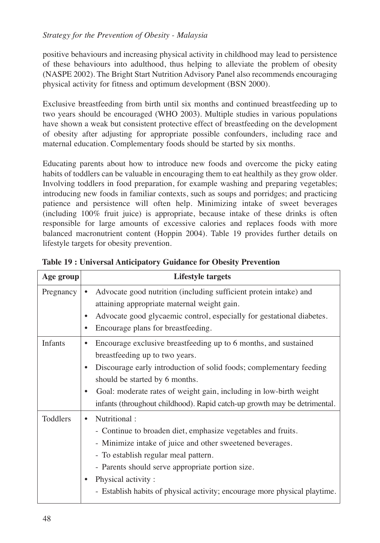#### *Strategy for the Prevention of Obesity - Malaysia*

positive behaviours and increasing physical activity in childhood may lead to persistence of these behaviours into adulthood, thus helping to alleviate the problem of obesity (NASPE 2002). The Bright Start Nutrition Advisory Panel also recommends encouraging physical activity for fitness and optimum development (BSN 2000).

Exclusive breastfeeding from birth until six months and continued breastfeeding up to two years should be encouraged (WHO 2003). Multiple studies in various populations have shown a weak but consistent protective effect of breastfeeding on the development of obesity after adjusting for appropriate possible confounders, including race and maternal education. Complementary foods should be started by six months.

Educating parents about how to introduce new foods and overcome the picky eating habits of toddlers can be valuable in encouraging them to eat healthily as they grow older. Involving toddlers in food preparation, for example washing and preparing vegetables; introducing new foods in familiar contexts, such as soups and porridges; and practicing patience and persistence will often help. Minimizing intake of sweet beverages (including 100% fruit juice) is appropriate, because intake of these drinks is often responsible for large amounts of excessive calories and replaces foods with more balanced macronutrient content (Hoppin 2004). Table 19 provides further details on lifestyle targets for obesity prevention.

| Age group | <b>Lifestyle targets</b>                                                                                                                                                                                                                                                                                                                                                |
|-----------|-------------------------------------------------------------------------------------------------------------------------------------------------------------------------------------------------------------------------------------------------------------------------------------------------------------------------------------------------------------------------|
| Pregnancy | Advocate good nutrition (including sufficient protein intake) and<br>$\bullet$<br>attaining appropriate maternal weight gain.<br>Advocate good glycaemic control, especially for gestational diabetes.<br>Encourage plans for breastfeeding.<br>٠                                                                                                                       |
| Infants   | Encourage exclusive breastfeeding up to 6 months, and sustained<br>٠<br>breastfeeding up to two years.<br>Discourage early introduction of solid foods; complementary feeding<br>should be started by 6 months.<br>Goal: moderate rates of weight gain, including in low-birth weight<br>٠<br>infants (throughout childhood). Rapid catch-up growth may be detrimental. |
| Toddlers  | Nutritional:<br>$\bullet$<br>- Continue to broaden diet, emphasize vegetables and fruits.<br>- Minimize intake of juice and other sweetened beverages.<br>- To establish regular meal pattern.<br>- Parents should serve appropriate portion size.<br>Physical activity:<br>- Establish habits of physical activity; encourage more physical playtime.                  |

**Table 19 : Universal Anticipatory Guidance for Obesity Prevention**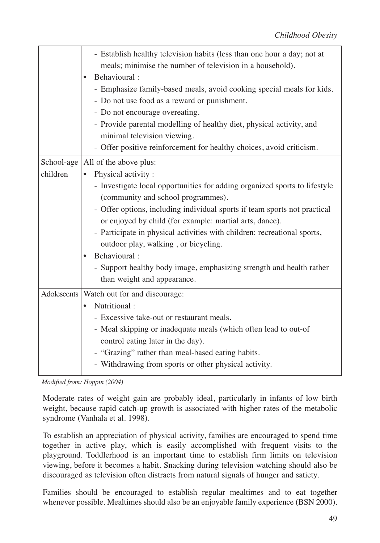|             | - Establish healthy television habits (less than one hour a day; not at<br>meals; minimise the number of television in a household).<br>Behavioural:<br>$\bullet$<br>- Emphasize family-based meals, avoid cooking special meals for kids.<br>- Do not use food as a reward or punishment.<br>- Do not encourage overeating.<br>- Provide parental modelling of healthy diet, physical activity, and<br>minimal television viewing.<br>- Offer positive reinforcement for healthy choices, avoid criticism. |
|-------------|-------------------------------------------------------------------------------------------------------------------------------------------------------------------------------------------------------------------------------------------------------------------------------------------------------------------------------------------------------------------------------------------------------------------------------------------------------------------------------------------------------------|
| School-age  | All of the above plus:                                                                                                                                                                                                                                                                                                                                                                                                                                                                                      |
| children    | Physical activity:                                                                                                                                                                                                                                                                                                                                                                                                                                                                                          |
|             | - Investigate local opportunities for adding organized sports to lifestyle                                                                                                                                                                                                                                                                                                                                                                                                                                  |
|             | (community and school programmes).                                                                                                                                                                                                                                                                                                                                                                                                                                                                          |
|             | - Offer options, including individual sports if team sports not practical<br>or enjoyed by child (for example: martial arts, dance).                                                                                                                                                                                                                                                                                                                                                                        |
|             | - Participate in physical activities with children: recreational sports,                                                                                                                                                                                                                                                                                                                                                                                                                                    |
|             | outdoor play, walking, or bicycling.                                                                                                                                                                                                                                                                                                                                                                                                                                                                        |
|             | Behavioural:<br>$\bullet$                                                                                                                                                                                                                                                                                                                                                                                                                                                                                   |
|             | - Support healthy body image, emphasizing strength and health rather                                                                                                                                                                                                                                                                                                                                                                                                                                        |
|             | than weight and appearance.                                                                                                                                                                                                                                                                                                                                                                                                                                                                                 |
| Adolescents | Watch out for and discourage:                                                                                                                                                                                                                                                                                                                                                                                                                                                                               |
|             | Nutritional:<br>$\bullet$                                                                                                                                                                                                                                                                                                                                                                                                                                                                                   |
|             | - Excessive take-out or restaurant meals.                                                                                                                                                                                                                                                                                                                                                                                                                                                                   |
|             | - Meal skipping or inadequate meals (which often lead to out-of                                                                                                                                                                                                                                                                                                                                                                                                                                             |
|             | control eating later in the day).<br>- "Grazing" rather than meal-based eating habits.                                                                                                                                                                                                                                                                                                                                                                                                                      |
|             | - Withdrawing from sports or other physical activity.                                                                                                                                                                                                                                                                                                                                                                                                                                                       |
|             |                                                                                                                                                                                                                                                                                                                                                                                                                                                                                                             |

*Modified from: Hoppin (2004)*

Moderate rates of weight gain are probably ideal, particularly in infants of low birth weight, because rapid catch-up growth is associated with higher rates of the metabolic syndrome (Vanhala et al. 1998).

To establish an appreciation of physical activity, families are encouraged to spend time together in active play, which is easily accomplished with frequent visits to the playground. Toddlerhood is an important time to establish firm limits on television viewing, before it becomes a habit. Snacking during television watching should also be discouraged as television often distracts from natural signals of hunger and satiety.

Families should be encouraged to establish regular mealtimes and to eat together whenever possible. Mealtimes should also be an enjoyable family experience (BSN 2000).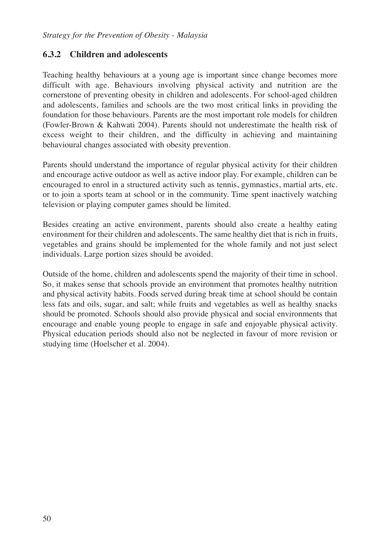#### **6.3.2 Children and adolescents**

Teaching healthy behaviours at a young age is important since change becomes more difficult with age. Behaviours involving physical activity and nutrition are the cornerstone of preventing obesity in children and adolescents. For school-aged children and adolescents, families and schools are the two most critical links in providing the foundation for those behaviours. Parents are the most important role models for children (Fowler-Brown & Kahwati 2004). Parents should not underestimate the health risk of excess weight to their children, and the difficulty in achieving and maintaining behavioural changes associated with obesity prevention.

Parents should understand the importance of regular physical activity for their children and encourage active outdoor as well as active indoor play. For example, children can be encouraged to enrol in a structured activity such as tennis, gymnastics, martial arts, etc. or to join a sports team at school or in the community. Time spent inactively watching television or playing computer games should be limited.

Besides creating an active environment, parents should also create a healthy eating environment for their children and adolescents. The same healthy diet that is rich in fruits, vegetables and grains should be implemented for the whole family and not just select individuals. Large portion sizes should be avoided.

Outside of the home, children and adolescents spend the majority of their time in school. So, it makes sense that schools provide an environment that promotes healthy nutrition and physical activity habits. Foods served during break time at school should be contain less fats and oils, sugar, and salt; while fruits and vegetables as well as healthy snacks should be promoted. Schools should also provide physical and social environments that encourage and enable young people to engage in safe and enjoyable physical activity. Physical education periods should also not be neglected in favour of more revision or studying time (Hoelscher et al. 2004).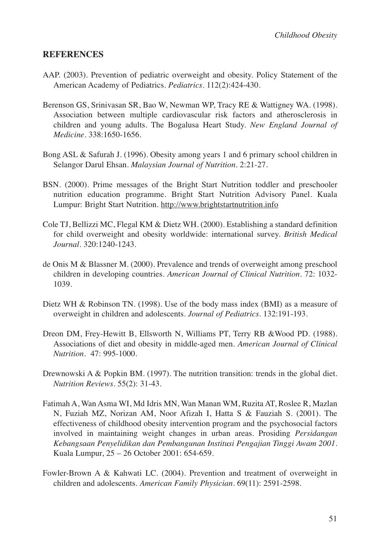#### **REFERENCES**

- AAP. (2003). Prevention of pediatric overweight and obesity. Policy Statement of the American Academy of Pediatrics. *Pediatrics*. 112(2):424-430.
- Berenson GS, Srinivasan SR, Bao W, Newman WP, Tracy RE & Wattigney WA. (1998). Association between multiple cardiovascular risk factors and atherosclerosis in children and young adults. The Bogalusa Heart Study. *New England Journal of Medicine*. 338:1650-1656.
- Bong ASL & Safurah J. (1996). Obesity among years 1 and 6 primary school children in Selangor Darul Ehsan. *Malaysian Journal of Nutrition*. 2:21-27.
- BSN. (2000). Prime messages of the Bright Start Nutrition toddler and preschooler nutrition education programme. Bright Start Nutrition Advisory Panel. Kuala Lumpur: Bright Start Nutrition. http://www.brightstartnutrition.info
- Cole TJ, Bellizzi MC, Flegal KM & Dietz WH. (2000). Establishing a standard definition for child overweight and obesity worldwide: international survey. *British Medical Journal*. 320:1240-1243.
- de Onis M & Blassner M. (2000). Prevalence and trends of overweight among preschool children in developing countries. *American Journal of Clinical Nutrition*. 72: 1032- 1039.
- Dietz WH & Robinson TN. (1998). Use of the body mass index (BMI) as a measure of overweight in children and adolescents. *Journal of Pediatrics*. 132:191-193.
- Dreon DM, Frey-Hewitt B, Ellsworth N, Williams PT, Terry RB &Wood PD. (1988). Associations of diet and obesity in middle-aged men. *American Journal of Clinical Nutrition*. 47: 995-1000.
- Drewnowski A & Popkin BM. (1997). The nutrition transition: trends in the global diet. *Nutrition Reviews*. 55(2): 31-43.
- Fatimah A, Wan Asma WI, Md Idris MN, Wan Manan WM, Ruzita AT, Roslee R, Mazlan N, Fuziah MZ, Norizan AM, Noor Afizah I, Hatta S & Fauziah S. (2001). The effectiveness of childhood obesity intervention program and the psychosocial factors involved in maintaining weight changes in urban areas. Prosiding *Persidangan Kebangsaan Penyelidikan dan Pembangunan Institusi Pengajian Tinggi Awam 2001*. Kuala Lumpur, 25 – 26 October 2001: 654-659.
- Fowler-Brown A & Kahwati LC. (2004). Prevention and treatment of overweight in children and adolescents. *American Family Physician*. 69(11): 2591-2598.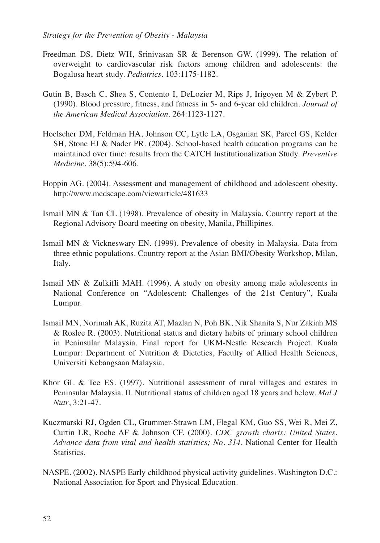- Freedman DS, Dietz WH, Srinivasan SR & Berenson GW. (1999). The relation of overweight to cardiovascular risk factors among children and adolescents: the Bogalusa heart study. *Pediatrics*. 103:1175-1182.
- Gutin B, Basch C, Shea S, Contento I, DeLozier M, Rips J, Irigoyen M & Zybert P. (1990). Blood pressure, fitness, and fatness in 5- and 6-year old children. *Journal of the American Medical Association*. 264:1123-1127.
- Hoelscher DM, Feldman HA, Johnson CC, Lytle LA, Osganian SK, Parcel GS, Kelder SH, Stone EJ & Nader PR. (2004). School-based health education programs can be maintained over time: results from the CATCH Institutionalization Study. *Preventive Medicine*. 38(5):594-606.
- Hoppin AG. (2004). Assessment and management of childhood and adolescent obesity. http://www.medscape.com/viewarticle/481633
- Ismail MN & Tan CL (1998). Prevalence of obesity in Malaysia. Country report at the Regional Advisory Board meeting on obesity, Manila, Phillipines.
- Ismail MN & Vickneswary EN. (1999). Prevalence of obesity in Malaysia. Data from three ethnic populations. Country report at the Asian BMI/Obesity Workshop, Milan, Italy.
- Ismail MN & Zulkifli MAH. (1996). A study on obesity among male adolescents in National Conference on "Adolescent: Challenges of the 21st Century", Kuala Lumpur.
- Ismail MN, Norimah AK, Ruzita AT, Mazlan N, Poh BK, Nik Shanita S, Nur Zakiah MS & Roslee R. (2003). Nutritional status and dietary habits of primary school children in Peninsular Malaysia. Final report for UKM-Nestle Research Project. Kuala Lumpur: Department of Nutrition & Dietetics, Faculty of Allied Health Sciences, Universiti Kebangsaan Malaysia.
- Khor GL & Tee ES. (1997). Nutritional assessment of rural villages and estates in Peninsular Malaysia. II. Nutritional status of children aged 18 years and below. *Mal J Nutr*, 3:21-47.
- Kuczmarski RJ, Ogden CL, Grummer-Strawn LM, Flegal KM, Guo SS, Wei R, Mei Z, Curtin LR, Roche AF & Johnson CF. (2000). *CDC growth charts: United States. Advance data from vital and health statistics; No. 314.* National Center for Health Statistics.
- NASPE. (2002). NASPE Early childhood physical activity guidelines. Washington D.C.: National Association for Sport and Physical Education.